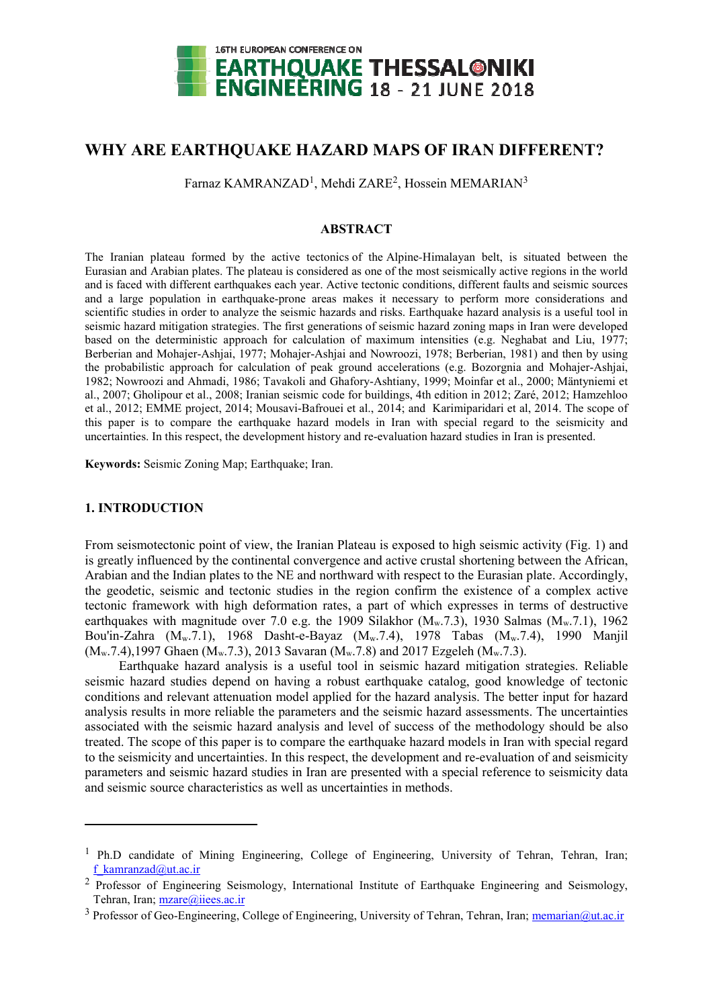

# **WHY ARE EARTHQUAKE HAZARD MAPS OF IRAN DIFFERENT?**

Farnaz KAMRANZAD<sup>1</sup>, Mehdi ZARE<sup>2</sup>, Hossein MEMARIAN<sup>3</sup>

### **ABSTRACT**

The Iranian plateau formed by the active tectonics of the Alpine*-*Himalayan belt, is situated between the Eurasian and Arabian plates. The plateau is considered as one of the most seismically active regions in the world and is faced with different earthquakes each year. Active tectonic conditions, different faults and seismic sources and a large population in earthquake-prone areas makes it necessary to perform more considerations and scientific studies in order to analyze the seismic hazards and risks. Earthquake hazard analysis is a useful tool in seismic hazard mitigation strategies. The first generations of seismic hazard zoning maps in Iran were developed based on the deterministic approach for calculation of maximum intensities (e.g. Neghabat and Liu, 1977; Berberian and Mohajer-Ashjai, 1977; Mohajer-Ashjai and Nowroozi, 1978; Berberian, 1981) and then by using the probabilistic approach for calculation of peak ground accelerations (e.g. Bozorgnia and Mohajer-Ashjai, 1982; Nowroozi and Ahmadi, 1986; Tavakoli and Ghafory-Ashtiany, 1999; Moinfar et al., 2000; Mäntyniemi et al., 2007; Gholipour et al., 2008; Iranian seismic code for buildings, 4th edition in 2012; Zaré, 2012; Hamzehloo et al., 2012; EMME project, 2014; Mousavi-Bafrouei et al., 2014; and Karimiparidari et al, 2014. The scope of this paper is to compare the earthquake hazard models in Iran with special regard to the seismicity and uncertainties. In this respect, the development history and re-evaluation hazard studies in Iran is presented.

**Keywords:** Seismic Zoning Map; Earthquake; Iran.

## **1. INTRODUCTION**

-

From seismotectonic point of view, the Iranian Plateau is exposed to high seismic activity (Fig. 1) and is greatly influenced by the continental convergence and active crustal shortening between the African, Arabian and the Indian plates to the NE and northward with respect to the Eurasian plate. Accordingly, the geodetic, seismic and tectonic studies in the region confirm the existence of a complex active tectonic framework with high deformation rates, a part of which expresses in terms of destructive earthquakes with magnitude over 7.0 e.g. the 1909 Silakhor  $(M_w.7.3)$ , 1930 Salmas  $(M_w.7.1)$ , 1962 Bou'in-Zahra (Mw.7.1), 1968 Dasht-e-Bayaz (Mw.7.4), 1978 Tabas (Mw.7.4), 1990 Manjil  $(M_w.7.4)$ ,1997 Ghaen  $(M_w.7.3)$ , 2013 Savaran  $(M_w.7.8)$  and 2017 Ezgeleh  $(M_w.7.3)$ .

Earthquake hazard analysis is a useful tool in seismic hazard mitigation strategies. Reliable seismic hazard studies depend on having a robust earthquake catalog, good knowledge of tectonic conditions and relevant attenuation model applied for the hazard analysis. The better input for hazard analysis results in more reliable the parameters and the seismic hazard assessments. The uncertainties associated with the seismic hazard analysis and level of success of the methodology should be also treated. The scope of this paper is to compare the earthquake hazard models in Iran with special regard to the seismicity and uncertainties. In this respect, the development and re-evaluation of and seismicity parameters and seismic hazard studies in Iran are presented with a special reference to seismicity data and seismic source characteristics as well as uncertainties in methods.

<sup>&</sup>lt;sup>1</sup> Ph.D candidate of Mining Engineering, College of Engineering, University of Tehran, Tehran, Iran; f\_kamranzad@ut.ac.ir

<sup>&</sup>lt;sup>2</sup> Professor of Engineering Seismology, International Institute of Earthquake Engineering and Seismology, Tehran, Iran; mzare@iiees.ac.ir

<sup>&</sup>lt;sup>3</sup> Professor of Geo-Engineering, College of Engineering, University of Tehran, Tehran, Iran; memarian@ut.ac.ir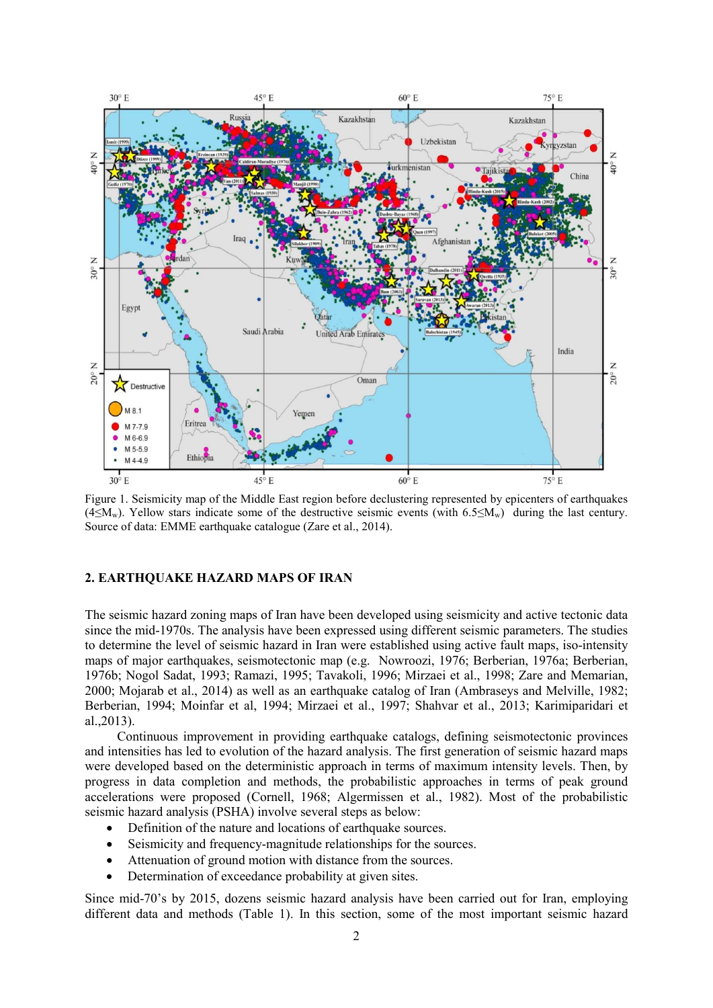

Figure 1. Seismicity map of the Middle East region before declustering represented by epicenters of earthquakes (4≤Mw). Yellow stars indicate some of the destructive seismic events (with 6.5≤Mw) during the last century. Source of data: EMME earthquake catalogue (Zare et al., 2014).

### **2. EARTHQUAKE HAZARD MAPS OF IRAN**

The seismic hazard zoning maps of Iran have been developed using seismicity and active tectonic data since the mid-1970s. The analysis have been expressed using different seismic parameters. The studies to determine the level of seismic hazard in Iran were established using active fault maps, iso-intensity maps of major earthquakes, seismotectonic map (e.g. Nowroozi, 1976; Berberian, 1976a; Berberian, 1976b; Nogol Sadat, 1993; Ramazi, 1995; Tavakoli, 1996; Mirzaei et al., 1998; Zare and Memarian, 2000; Mojarab et al., 2014) as well as an earthquake catalog of Iran (Ambraseys and Melville, 1982; Berberian, 1994; Moinfar et al, 1994; Mirzaei et al., 1997; Shahvar et al., 2013; Karimiparidari et al.,2013).

Continuous improvement in providing earthquake catalogs, defining seismotectonic provinces and intensities has led to evolution of the hazard analysis. The first generation of seismic hazard maps were developed based on the deterministic approach in terms of maximum intensity levels. Then, by progress in data completion and methods, the probabilistic approaches in terms of peak ground accelerations were proposed (Cornell, 1968; Algermissen et al., 1982). Most of the probabilistic seismic hazard analysis (PSHA) involve several steps as below:

- Definition of the nature and locations of earthquake sources.
- Seismicity and frequency-magnitude relationships for the sources.
- Attenuation of ground motion with distance from the sources.
- Determination of exceedance probability at given sites.

Since mid-70's by 2015, dozens seismic hazard analysis have been carried out for Iran, employing different data and methods (Table 1). In this section, some of the most important seismic hazard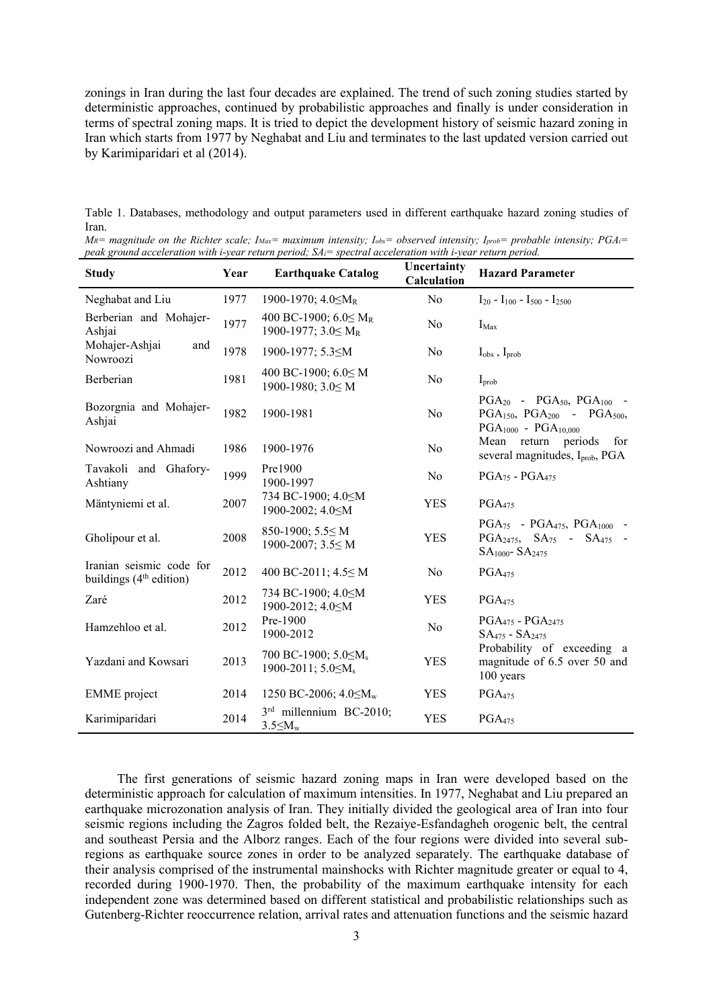zonings in Iran during the last four decades are explained. The trend of such zoning studies started by deterministic approaches, continued by probabilistic approaches and finally is under consideration in terms of spectral zoning maps. It is tried to depict the development history of seismic hazard zoning in Iran which starts from 1977 by Neghabat and Liu and terminates to the last updated version carried out by Karimiparidari et al (2014).

Table 1. Databases, methodology and output parameters used in different earthquake hazard zoning studies of Iran.

| $M_R$ = magnitude on the Richter scale; $I_{\text{Max}}$ = maximum intensity; $I_{\text{obs}}$ = observed intensity; $I_{\text{prob}}$ = probable intensity; $PGA_i$ = |  |
|------------------------------------------------------------------------------------------------------------------------------------------------------------------------|--|
| peak ground acceleration with i-year return period; $SA_i$ = spectral acceleration with i-year return period.                                                          |  |

| <b>Study</b>                                                    | Year | <b>Earthquake Catalog</b>                                                                                | Uncertainty<br>Calculation | <b>Hazard Parameter</b>                                                                                           |  |
|-----------------------------------------------------------------|------|----------------------------------------------------------------------------------------------------------|----------------------------|-------------------------------------------------------------------------------------------------------------------|--|
| Neghabat and Liu                                                | 1977 | 1900-1970; $4.0 \leq M_R$                                                                                | No                         | $I_{20}$ - $I_{100}$ - $I_{500}$ - $I_{2500}$                                                                     |  |
| Berberian and Mohajer-<br>Ashjai                                | 1977 | 400 BC-1900; $6.0 \leq M_R$<br>1900-1977; $3.0 \leq M_R$                                                 | N <sub>0</sub>             | $I_{\text{Max}}$                                                                                                  |  |
| Mohajer-Ashjai<br>and<br>Nowroozi                               | 1978 | 1900-1977; 5.3 <m< td=""><td>N<sub>0</sub></td><td><math>I_{obs}</math>, <math>I_{prob}</math></td></m<> | N <sub>0</sub>             | $I_{obs}$ , $I_{prob}$                                                                                            |  |
| Berberian                                                       | 1981 | 400 BC-1900; 6.0≤ M<br>1900-1980; 3.0≤ M                                                                 | N <sub>0</sub>             | $I_{\text{prob}}$                                                                                                 |  |
| Bozorgnia and Mohajer-<br>Ashjai                                | 1982 | 1900-1981                                                                                                | N <sub>o</sub>             | $PGA_{20} - PGA_{50}$ , $PGA_{100} -$<br>$PGA_{150}$ , $PGA_{200}$ - $PGA_{500}$ ,<br>$PGA_{1000} - PGA_{10,000}$ |  |
| Nowroozi and Ahmadi                                             | 1986 | 1900-1976                                                                                                | No                         | return periods<br>Mean<br>for<br>several magnitudes, I <sub>prob</sub> , PGA                                      |  |
| Tavakoli and Ghafory-<br>Ashtiany                               | 1999 | Pre1900<br>1900-1997                                                                                     | No                         | $PGA_{75}$ - $PGA_{475}$                                                                                          |  |
| Mäntyniemi et al.                                               | 2007 | 734 BC-1900; 4.0≤M<br>1900-2002; 4.0 SM                                                                  | <b>YES</b>                 | PGA <sub>475</sub>                                                                                                |  |
| Gholipour et al.                                                | 2008 | 850-1900; $5.5 \le M$<br>1900-2007; 3.5≤ M                                                               | <b>YES</b>                 | $PGA_{75}$ - $PGA_{475}$ , $PGA_{1000}$ -<br>$PGA_{2475}$ , $SA_{75}$ - $SA_{475}$ -<br>$SA1000 - SA2475$         |  |
| Iranian seismic code for<br>buildings (4 <sup>th</sup> edition) | 2012 | 400 BC-2011; 4.5≤ M                                                                                      | N <sub>0</sub>             | PGA <sub>475</sub>                                                                                                |  |
| Zaré                                                            | 2012 | 734 BC-1900; 4.0≤M<br>1900-2012; 4.0 SM                                                                  | <b>YES</b>                 | PGA <sub>475</sub>                                                                                                |  |
| Hamzehloo et al.                                                | 2012 | Pre-1900<br>1900-2012                                                                                    | No                         | $PGA_{475} - PGA_{2475}$<br>$SA475 - SA2475$                                                                      |  |
| Yazdani and Kowsari                                             | 2013 | 700 BC-1900; $5.0 \le M_s$<br>1900-2011; 5.0≤M <sub>s</sub>                                              | <b>YES</b>                 | Probability of exceeding a<br>magnitude of 6.5 over 50 and<br>100 years                                           |  |
| <b>EMME</b> project                                             | 2014 | 1250 BC-2006; 4.0≤M <sub>w</sub>                                                                         | <b>YES</b>                 | PGA <sub>475</sub>                                                                                                |  |
| Karimiparidari                                                  | 2014 | 3rd millennium BC-2010;<br>$3.5 \leq M_{w}$                                                              | <b>YES</b>                 | PGA <sub>475</sub>                                                                                                |  |

The first generations of seismic hazard zoning maps in Iran were developed based on the deterministic approach for calculation of maximum intensities. In 1977, Neghabat and Liu prepared an earthquake microzonation analysis of Iran. They initially divided the geological area of Iran into four seismic regions including the Zagros folded belt, the Rezaiye-Esfandagheh orogenic belt, the central and southeast Persia and the Alborz ranges. Each of the four regions were divided into several subregions as earthquake source zones in order to be analyzed separately. The earthquake database of their analysis comprised of the instrumental mainshocks with Richter magnitude greater or equal to 4, recorded during 1900-1970. Then, the probability of the maximum earthquake intensity for each independent zone was determined based on different statistical and probabilistic relationships such as Gutenberg-Richter reoccurrence relation, arrival rates and attenuation functions and the seismic hazard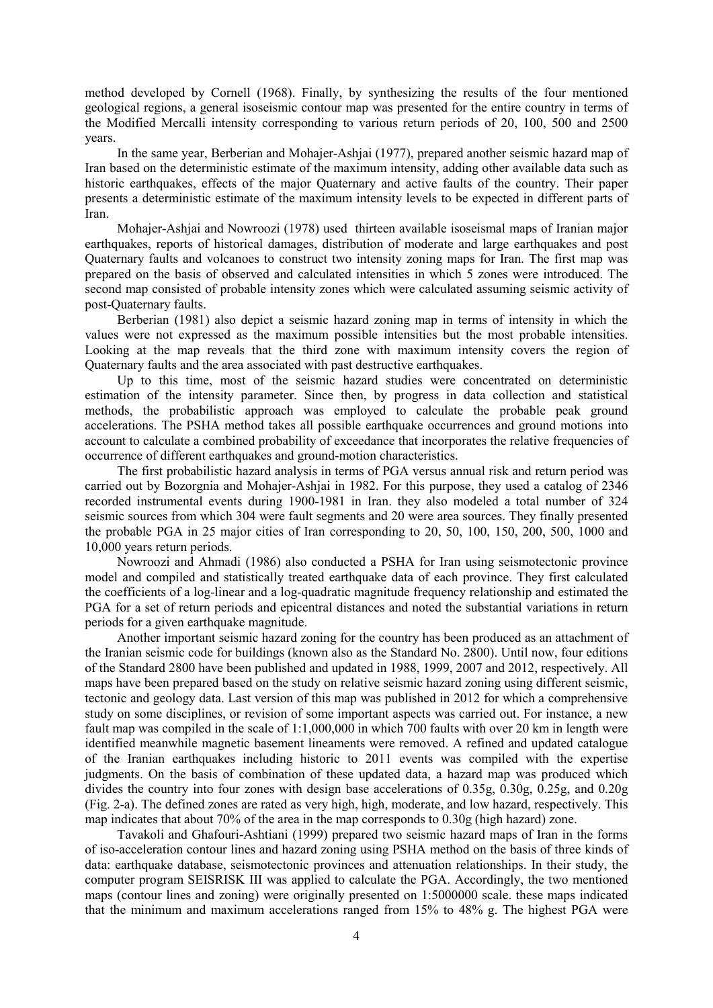method developed by Cornell (1968). Finally, by synthesizing the results of the four mentioned geological regions, a general isoseismic contour map was presented for the entire country in terms of the Modified Mercalli intensity corresponding to various return periods of 20, 100, 500 and 2500 years.

In the same year, Berberian and Mohajer-Ashjai (1977), prepared another seismic hazard map of Iran based on the deterministic estimate of the maximum intensity, adding other available data such as historic earthquakes, effects of the major Quaternary and active faults of the country. Their paper presents a deterministic estimate of the maximum intensity levels to be expected in different parts of Iran.

Mohajer-Ashjai and Nowroozi (1978) used thirteen available isoseismal maps of Iranian major earthquakes, reports of historical damages, distribution of moderate and large earthquakes and post Quaternary faults and volcanoes to construct two intensity zoning maps for Iran. The first map was prepared on the basis of observed and calculated intensities in which 5 zones were introduced. The second map consisted of probable intensity zones which were calculated assuming seismic activity of post-Quaternary faults.

Berberian (1981) also depict a seismic hazard zoning map in terms of intensity in which the values were not expressed as the maximum possible intensities but the most probable intensities. Looking at the map reveals that the third zone with maximum intensity covers the region of Quaternary faults and the area associated with past destructive earthquakes.

Up to this time, most of the seismic hazard studies were concentrated on deterministic estimation of the intensity parameter. Since then, by progress in data collection and statistical methods, the probabilistic approach was employed to calculate the probable peak ground accelerations. The PSHA method takes all possible earthquake occurrences and ground motions into account to calculate a combined probability of exceedance that incorporates the relative frequencies of occurrence of different earthquakes and ground-motion characteristics.

The first probabilistic hazard analysis in terms of PGA versus annual risk and return period was carried out by Bozorgnia and Mohajer-Ashjai in 1982. For this purpose, they used a catalog of 2346 recorded instrumental events during 1900-1981 in Iran. they also modeled a total number of 324 seismic sources from which 304 were fault segments and 20 were area sources. They finally presented the probable PGA in 25 major cities of Iran corresponding to 20, 50, 100, 150, 200, 500, 1000 and 10,000 years return periods.

Nowroozi and Ahmadi (1986) also conducted a PSHA for Iran using seismotectonic province model and compiled and statistically treated earthquake data of each province. They first calculated the coefficients of a log-linear and a log-quadratic magnitude frequency relationship and estimated the PGA for a set of return periods and epicentral distances and noted the substantial variations in return periods for a given earthquake magnitude.

Another important seismic hazard zoning for the country has been produced as an attachment of the Iranian seismic code for buildings (known also as the Standard No. 2800). Until now, four editions of the Standard 2800 have been published and updated in 1988, 1999, 2007 and 2012, respectively. All maps have been prepared based on the study on relative seismic hazard zoning using different seismic, tectonic and geology data. Last version of this map was published in 2012 for which a comprehensive study on some disciplines, or revision of some important aspects was carried out. For instance, a new fault map was compiled in the scale of 1:1,000,000 in which 700 faults with over 20 km in length were identified meanwhile magnetic basement lineaments were removed. A refined and updated catalogue of the Iranian earthquakes including historic to 2011 events was compiled with the expertise judgments. On the basis of combination of these updated data, a hazard map was produced which divides the country into four zones with design base accelerations of 0.35g, 0.30g, 0.25g, and 0.20g (Fig. 2-a). The defined zones are rated as very high, high, moderate, and low hazard, respectively. This map indicates that about 70% of the area in the map corresponds to 0.30g (high hazard) zone.

Tavakoli and Ghafouri-Ashtiani (1999) prepared two seismic hazard maps of Iran in the forms of iso-acceleration contour lines and hazard zoning using PSHA method on the basis of three kinds of data: earthquake database, seismotectonic provinces and attenuation relationships. In their study, the computer program SEISRISK III was applied to calculate the PGA. Accordingly, the two mentioned maps (contour lines and zoning) were originally presented on 1:5000000 scale. these maps indicated that the minimum and maximum accelerations ranged from 15% to 48% g. The highest PGA were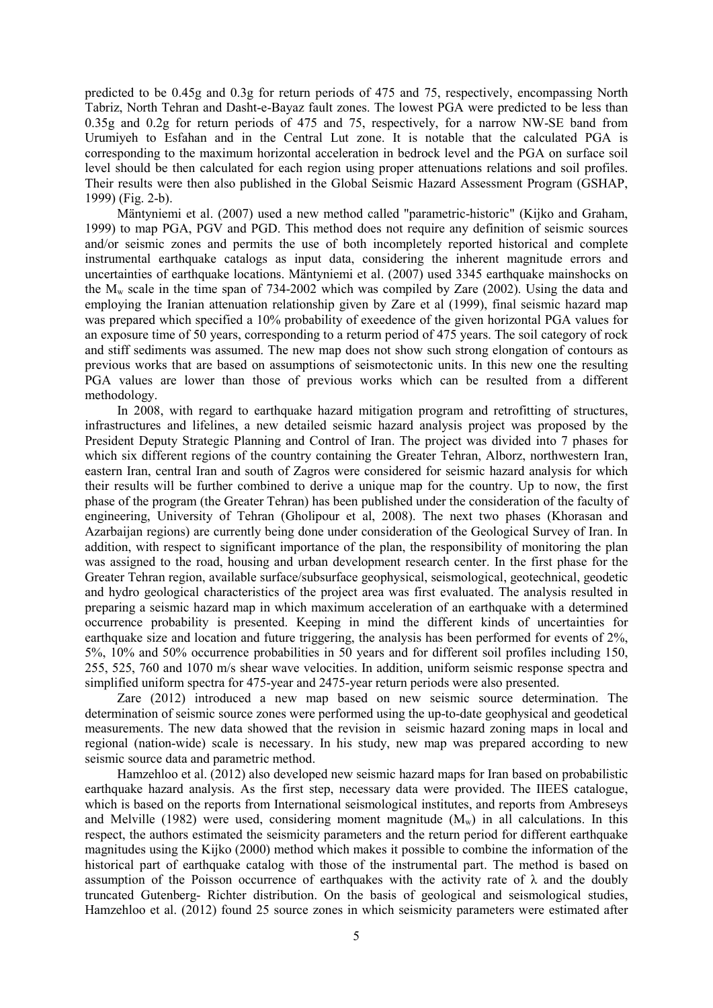predicted to be 0.45g and 0.3g for return periods of 475 and 75, respectively, encompassing North Tabriz, North Tehran and Dasht-e-Bayaz fault zones. The lowest PGA were predicted to be less than 0.35g and 0.2g for return periods of 475 and 75, respectively, for a narrow NW-SE band from Urumiyeh to Esfahan and in the Central Lut zone. It is notable that the calculated PGA is corresponding to the maximum horizontal acceleration in bedrock level and the PGA on surface soil level should be then calculated for each region using proper attenuations relations and soil profiles. Their results were then also published in the Global Seismic Hazard Assessment Program (GSHAP, 1999) (Fig. 2-b).

Mäntyniemi et al. (2007) used a new method called "parametric-historic" (Kijko and Graham, 1999) to map PGA, PGV and PGD. This method does not require any definition of seismic sources and/or seismic zones and permits the use of both incompletely reported historical and complete instrumental earthquake catalogs as input data, considering the inherent magnitude errors and uncertainties of earthquake locations. Mäntyniemi et al. (2007) used 3345 earthquake mainshocks on the Mw scale in the time span of 734-2002 which was compiled by Zare (2002). Using the data and employing the Iranian attenuation relationship given by Zare et al (1999), final seismic hazard map was prepared which specified a 10% probability of exeedence of the given horizontal PGA values for an exposure time of 50 years, corresponding to a returm period of 475 years. The soil category of rock and stiff sediments was assumed. The new map does not show such strong elongation of contours as previous works that are based on assumptions of seismotectonic units. In this new one the resulting PGA values are lower than those of previous works which can be resulted from a different methodology.

In 2008, with regard to earthquake hazard mitigation program and retrofitting of structures, infrastructures and lifelines, a new detailed seismic hazard analysis project was proposed by the President Deputy Strategic Planning and Control of Iran. The project was divided into 7 phases for which six different regions of the country containing the Greater Tehran, Alborz, northwestern Iran, eastern Iran, central Iran and south of Zagros were considered for seismic hazard analysis for which their results will be further combined to derive a unique map for the country. Up to now, the first phase of the program (the Greater Tehran) has been published under the consideration of the faculty of engineering, University of Tehran (Gholipour et al, 2008). The next two phases (Khorasan and Azarbaijan regions) are currently being done under consideration of the Geological Survey of Iran. In addition, with respect to significant importance of the plan, the responsibility of monitoring the plan was assigned to the road, housing and urban development research center. In the first phase for the Greater Tehran region, available surface/subsurface geophysical, seismological, geotechnical, geodetic and hydro geological characteristics of the project area was first evaluated. The analysis resulted in preparing a seismic hazard map in which maximum acceleration of an earthquake with a determined occurrence probability is presented. Keeping in mind the different kinds of uncertainties for earthquake size and location and future triggering, the analysis has been performed for events of 2%. 5%, 10% and 50% occurrence probabilities in 50 years and for different soil profiles including 150, 255, 525, 760 and 1070 m/s shear wave velocities. In addition, uniform seismic response spectra and simplified uniform spectra for 475-year and 2475-year return periods were also presented.

Zare (2012) introduced a new map based on new seismic source determination. The determination of seismic source zones were performed using the up-to-date geophysical and geodetical measurements. The new data showed that the revision in seismic hazard zoning maps in local and regional (nation-wide) scale is necessary. In his study, new map was prepared according to new seismic source data and parametric method.

Hamzehloo et al. (2012) also developed new seismic hazard maps for Iran based on probabilistic earthquake hazard analysis. As the first step, necessary data were provided. The IIEES catalogue, which is based on the reports from International seismological institutes, and reports from Ambreseys and Melville (1982) were used, considering moment magnitude  $(M_w)$  in all calculations. In this respect, the authors estimated the seismicity parameters and the return period for different earthquake magnitudes using the Kijko (2000) method which makes it possible to combine the information of the historical part of earthquake catalog with those of the instrumental part. The method is based on assumption of the Poisson occurrence of earthquakes with the activity rate of  $\lambda$  and the doubly truncated Gutenberg- Richter distribution. On the basis of geological and seismological studies, Hamzehloo et al. (2012) found 25 source zones in which seismicity parameters were estimated after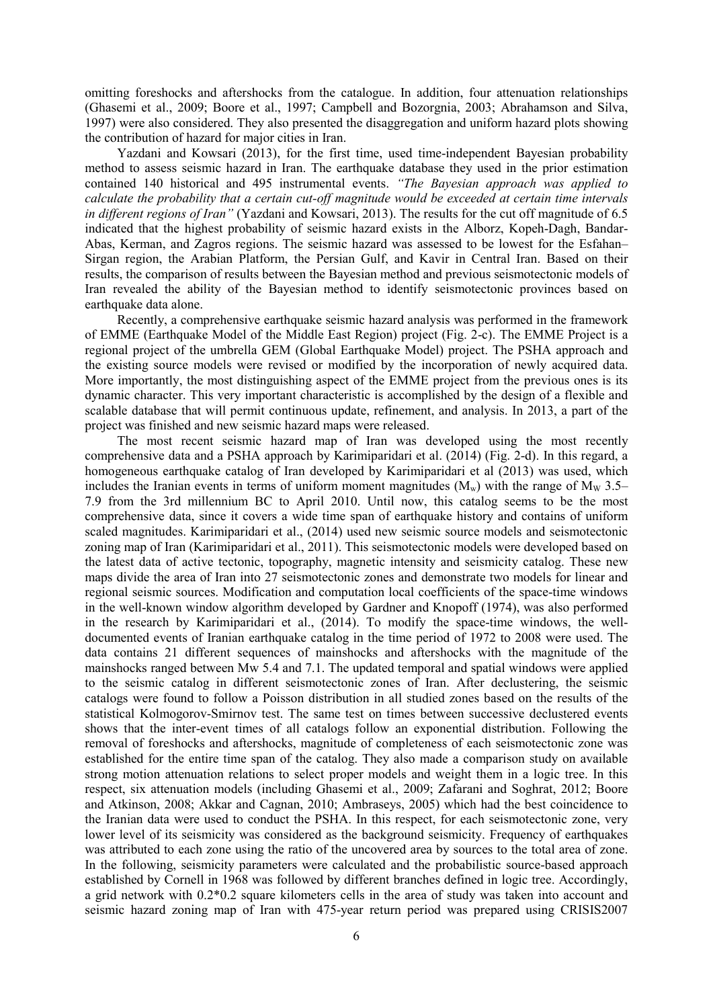omitting foreshocks and aftershocks from the catalogue. In addition, four attenuation relationships (Ghasemi et al., 2009; Boore et al., 1997; Campbell and Bozorgnia, 2003; Abrahamson and Silva, 1997) were also considered. They also presented the disaggregation and uniform hazard plots showing the contribution of hazard for major cities in Iran.

Yazdani and Kowsari (2013), for the first time, used time-independent Bayesian probability method to assess seismic hazard in Iran. The earthquake database they used in the prior estimation contained 140 historical and 495 instrumental events. *"The Bayesian approach was applied to calculate the probability that a certain cut-off magnitude would be exceeded at certain time intervals in different regions of Iran"* (Yazdani and Kowsari, 2013). The results for the cut off magnitude of 6.5 indicated that the highest probability of seismic hazard exists in the Alborz, Kopeh-Dagh, Bandar-Abas, Kerman, and Zagros regions. The seismic hazard was assessed to be lowest for the Esfahan– Sirgan region, the Arabian Platform, the Persian Gulf, and Kavir in Central Iran. Based on their results, the comparison of results between the Bayesian method and previous seismotectonic models of Iran revealed the ability of the Bayesian method to identify seismotectonic provinces based on earthquake data alone.

Recently, a comprehensive earthquake seismic hazard analysis was performed in the framework of EMME (Earthquake Model of the Middle East Region) project (Fig. 2-c). The EMME Project is a regional project of the umbrella GEM (Global Earthquake Model) project. The PSHA approach and the existing source models were revised or modified by the incorporation of newly acquired data. More importantly, the most distinguishing aspect of the EMME project from the previous ones is its dynamic character. This very important characteristic is accomplished by the design of a flexible and scalable database that will permit continuous update, refinement, and analysis. In 2013, a part of the project was finished and new seismic hazard maps were released.

The most recent seismic hazard map of Iran was developed using the most recently comprehensive data and a PSHA approach by Karimiparidari et al. (2014) (Fig. 2-d). In this regard, a homogeneous earthquake catalog of Iran developed by Karimiparidari et al (2013) was used, which includes the Iranian events in terms of uniform moment magnitudes  $(M_w)$  with the range of  $M_w$  3.5– 7.9 from the 3rd millennium BC to April 2010. Until now, this catalog seems to be the most comprehensive data, since it covers a wide time span of earthquake history and contains of uniform scaled magnitudes. Karimiparidari et al., (2014) used new seismic source models and seismotectonic zoning map of Iran (Karimiparidari et al., 2011). This seismotectonic models were developed based on the latest data of active tectonic, topography, magnetic intensity and seismicity catalog. These new maps divide the area of Iran into 27 seismotectonic zones and demonstrate two models for linear and regional seismic sources. Modification and computation local coefficients of the space-time windows in the well-known window algorithm developed by Gardner and Knopoff (1974), was also performed in the research by Karimiparidari et al., (2014). To modify the space-time windows, the welldocumented events of Iranian earthquake catalog in the time period of 1972 to 2008 were used. The data contains 21 different sequences of mainshocks and aftershocks with the magnitude of the mainshocks ranged between Mw 5.4 and 7.1. The updated temporal and spatial windows were applied to the seismic catalog in different seismotectonic zones of Iran. After declustering, the seismic catalogs were found to follow a Poisson distribution in all studied zones based on the results of the statistical Kolmogorov-Smirnov test. The same test on times between successive declustered events shows that the inter-event times of all catalogs follow an exponential distribution. Following the removal of foreshocks and aftershocks, magnitude of completeness of each seismotectonic zone was established for the entire time span of the catalog. They also made a comparison study on available strong motion attenuation relations to select proper models and weight them in a logic tree. In this respect, six attenuation models (including Ghasemi et al., 2009; Zafarani and Soghrat, 2012; Boore and Atkinson, 2008; Akkar and Cagnan, 2010; Ambraseys, 2005) which had the best coincidence to the Iranian data were used to conduct the PSHA. In this respect, for each seismotectonic zone, very lower level of its seismicity was considered as the background seismicity. Frequency of earthquakes was attributed to each zone using the ratio of the uncovered area by sources to the total area of zone. In the following, seismicity parameters were calculated and the probabilistic source-based approach established by Cornell in 1968 was followed by different branches defined in logic tree. Accordingly, a grid network with 0.2\*0.2 square kilometers cells in the area of study was taken into account and seismic hazard zoning map of Iran with 475-year return period was prepared using CRISIS2007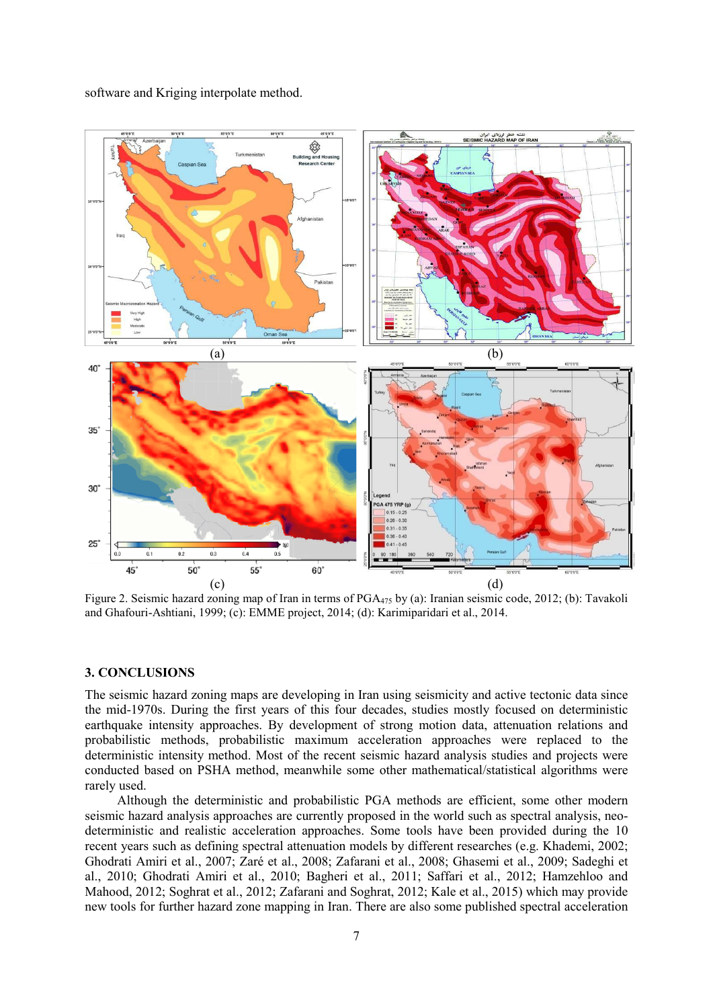

software and Kriging interpolate method.

Figure 2. Seismic hazard zoning map of Iran in terms of PGA<sub>475</sub> by (a): Iranian seismic code, 2012; (b): Tavakoli and Ghafouri-Ashtiani, 1999; (c): EMME project, 2014; (d): Karimiparidari et al., 2014.

#### **3. CONCLUSIONS**

The seismic hazard zoning maps are developing in Iran using seismicity and active tectonic data since the mid-1970s. During the first years of this four decades, studies mostly focused on deterministic earthquake intensity approaches. By development of strong motion data, attenuation relations and probabilistic methods, probabilistic maximum acceleration approaches were replaced to the deterministic intensity method. Most of the recent seismic hazard analysis studies and projects were conducted based on PSHA method, meanwhile some other mathematical/statistical algorithms were rarely used.

Although the deterministic and probabilistic PGA methods are efficient, some other modern seismic hazard analysis approaches are currently proposed in the world such as spectral analysis, neodeterministic and realistic acceleration approaches. Some tools have been provided during the 10 recent years such as defining spectral attenuation models by different researches (e.g. Khademi, 2002; Ghodrati Amiri et al., 2007; Zaré et al., 2008; Zafarani et al., 2008; Ghasemi et al., 2009; Sadeghi et al., 2010; Ghodrati Amiri et al., 2010; Bagheri et al., 2011; Saffari et al., 2012; Hamzehloo and Mahood, 2012; Soghrat et al., 2012; Zafarani and Soghrat, 2012; Kale et al., 2015) which may provide new tools for further hazard zone mapping in Iran. There are also some published spectral acceleration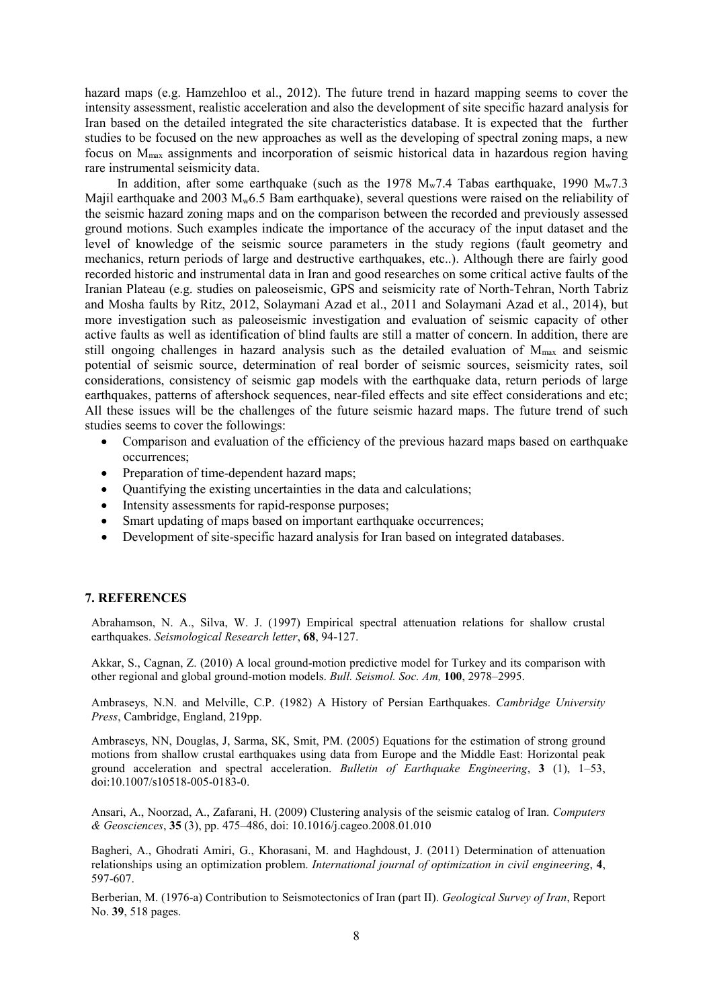hazard maps (e.g. Hamzehloo et al., 2012). The future trend in hazard mapping seems to cover the intensity assessment, realistic acceleration and also the development of site specific hazard analysis for Iran based on the detailed integrated the site characteristics database. It is expected that the further studies to be focused on the new approaches as well as the developing of spectral zoning maps, a new focus on Mmax assignments and incorporation of seismic historical data in hazardous region having rare instrumental seismicity data.

In addition, after some earthquake (such as the 1978  $M_w$ 7.4 Tabas earthquake, 1990  $M_w$ 7.3 Majil earthquake and 2003  $M_w$ 6.5 Bam earthquake), several questions were raised on the reliability of the seismic hazard zoning maps and on the comparison between the recorded and previously assessed ground motions. Such examples indicate the importance of the accuracy of the input dataset and the level of knowledge of the seismic source parameters in the study regions (fault geometry and mechanics, return periods of large and destructive earthquakes, etc..). Although there are fairly good recorded historic and instrumental data in Iran and good researches on some critical active faults of the Iranian Plateau (e.g. studies on paleoseismic, GPS and seismicity rate of North-Tehran, North Tabriz and Mosha faults by Ritz, 2012, Solaymani Azad et al., 2011 and Solaymani Azad et al., 2014), but more investigation such as paleoseismic investigation and evaluation of seismic capacity of other active faults as well as identification of blind faults are still a matter of concern. In addition, there are still ongoing challenges in hazard analysis such as the detailed evaluation of  $M_{\text{max}}$  and seismic potential of seismic source, determination of real border of seismic sources, seismicity rates, soil considerations, consistency of seismic gap models with the earthquake data, return periods of large earthquakes, patterns of aftershock sequences, near-filed effects and site effect considerations and etc; All these issues will be the challenges of the future seismic hazard maps. The future trend of such studies seems to cover the followings:

- Comparison and evaluation of the efficiency of the previous hazard maps based on earthquake occurrences;
- Preparation of time-dependent hazard maps;
- Quantifying the existing uncertainties in the data and calculations;
- Intensity assessments for rapid-response purposes;
- Smart updating of maps based on important earthquake occurrences;
- Development of site-specific hazard analysis for Iran based on integrated databases.

#### **7. REFERENCES**

Abrahamson, N. A., Silva, W. J. (1997) Empirical spectral attenuation relations for shallow crustal earthquakes. *Seismological Research letter*, **68**, 94-127.

Akkar, S., Cagnan, Z. (2010) A local ground-motion predictive model for Turkey and its comparison with other regional and global ground-motion models. *Bull. Seismol. Soc. Am,* **100**, 2978–2995.

Ambraseys, N.N. and Melville, C.P. (1982) A History of Persian Earthquakes. *Cambridge University Press*, Cambridge, England, 219pp.

Ambraseys, NN, Douglas, J, Sarma, SK, Smit, PM. (2005) Equations for the estimation of strong ground motions from shallow crustal earthquakes using data from Europe and the Middle East: Horizontal peak ground acceleration and spectral acceleration. *Bulletin of Earthquake Engineering*, **3** (1), 1–53, doi:10.1007/s10518-005-0183-0.

Ansari, A., Noorzad, A., Zafarani, H. (2009) Clustering analysis of the seismic catalog of Iran. *Computers & Geosciences*, **35** (3), pp. 475–486, doi: 10.1016/j.cageo.2008.01.010

Bagheri, A., Ghodrati Amiri, G., Khorasani, M. and Haghdoust, J. (2011) Determination of attenuation relationships using an optimization problem. *International journal of optimization in civil engineering*, **4**, 597-607.

Berberian, M. (1976-a) Contribution to Seismotectonics of Iran (part II). *Geological Survey of Iran*, Report No. **39**, 518 pages.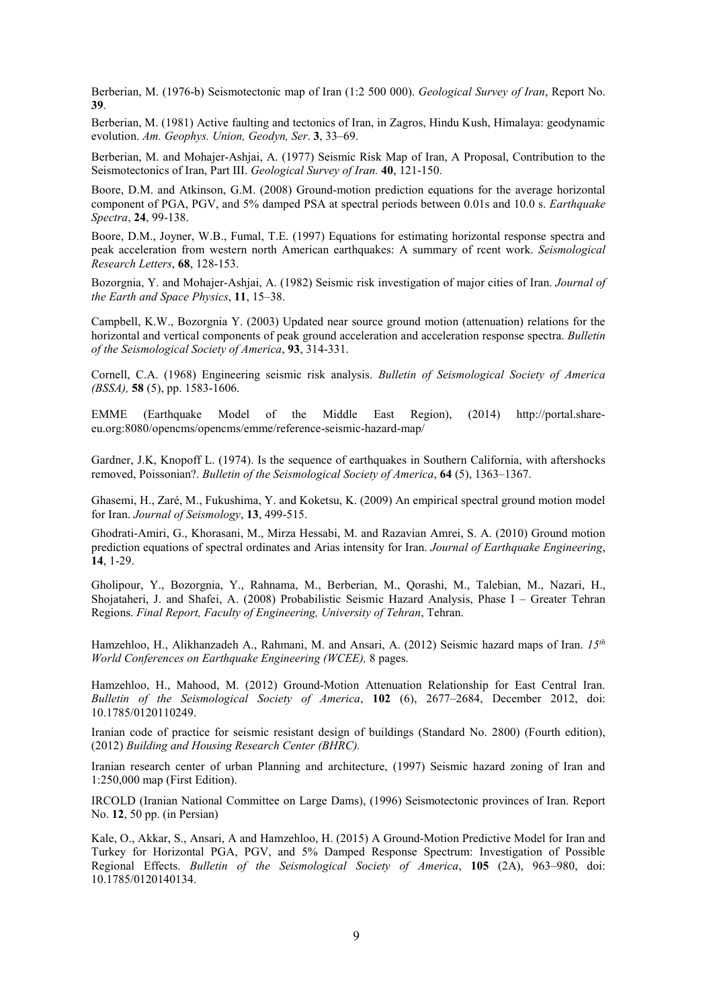Berberian, M. (1976-b) Seismotectonic map of Iran (1:2 500 000). *Geological Survey of Iran*, Report No. **39**.

Berberian, M. (1981) Active faulting and tectonics of Iran, in Zagros, Hindu Kush, Himalaya: geodynamic evolution. *Am. Geophys. Union, Geodyn, Ser*. **3**, 33–69.

Berberian, M. and Mohajer-Ashjai, A. (1977) Seismic Risk Map of Iran, A Proposal, Contribution to the Seismotectonics of Iran, Part III. *Geological Survey of Iran.* **40**, 121-150.

Boore, D.M. and Atkinson, G.M. (2008) Ground-motion prediction equations for the average horizontal component of PGA, PGV, and 5% damped PSA at spectral periods between 0.01s and 10.0 s. *Earthquake Spectra*, **24**, 99-138.

Boore, D.M., Joyner, W.B., Fumal, T.E. (1997) Equations for estimating horizontal response spectra and peak acceleration from western north American earthquakes: A summary of rcent work. *Seismological Research Letters*, **68**, 128-153.

Bozorgnia, Y. and Mohajer-Ashjai, A. (1982) Seismic risk investigation of major cities of Iran. *Journal of the Earth and Space Physics*, **11**, 15–38.

Campbell, K.W., Bozorgnia Y. (2003) Updated near source ground motion (attenuation) relations for the horizontal and vertical components of peak ground acceleration and acceleration response spectra. *Bulletin of the Seismological Society of America*, **93**, 314-331.

Cornell, C.A. (1968) Engineering seismic risk analysis. *Bulletin of Seismological Society of America (BSSA),* **58** (5), pp. 1583-1606.

EMME (Earthquake Model of the Middle East Region), (2014) http://portal.shareeu.org:8080/opencms/opencms/emme/reference-seismic-hazard-map/

Gardner, J.K, Knopoff L. (1974). Is the sequence of earthquakes in Southern California, with aftershocks removed, Poissonian?. *Bulletin of the Seismological Society of America*, **64** (5), 1363–1367.

Ghasemi, H., Zaré, M., Fukushima, Y. and Koketsu, K. (2009) An empirical spectral ground motion model for Iran. *Journal of Seismology*, **13**, 499-515.

Ghodrati-Amiri, G., Khorasani, M., Mirza Hessabi, M. and Razavian Amrei, S. A. (2010) Ground motion prediction equations of spectral ordinates and Arias intensity for Iran. *Journal of Earthquake Engineering*, **14**, 1-29.

Gholipour, Y., Bozorgnia, Y., Rahnama, M., Berberian, M., Qorashi, M., Talebian, M., Nazari, H., Shojataheri, J. and Shafei, A. (2008) Probabilistic Seismic Hazard Analysis, Phase I – Greater Tehran Regions. *Final Report, Faculty of Engineering, University of Tehran*, Tehran.

Hamzehloo, H., Alikhanzadeh A., Rahmani, M. and Ansari, A. (2012) Seismic hazard maps of Iran. *15th World Conferences on Earthquake Engineering (WCEE),* 8 pages.

Hamzehloo, H., Mahood, M. (2012) Ground-Motion Attenuation Relationship for East Central Iran. *Bulletin of the Seismological Society of America*, **102** (6), 2677–2684, December 2012, doi: 10.1785/0120110249.

Iranian code of practice for seismic resistant design of buildings (Standard No. 2800) (Fourth edition), (2012) *Building and Housing Research Center (BHRC).*

Iranian research center of urban Planning and architecture, (1997) Seismic hazard zoning of Iran and 1:250,000 map (First Edition).

IRCOLD (Iranian National Committee on Large Dams), (1996) Seismotectonic provinces of Iran. Report No. **12**, 50 pp. (in Persian)

Kale, O., Akkar, S., Ansari, A and Hamzehloo, H. (2015) A Ground-Motion Predictive Model for Iran and Turkey for Horizontal PGA, PGV, and 5% Damped Response Spectrum: Investigation of Possible Regional Effects. *Bulletin of the Seismological Society of America*, **105** (2A), 963–980, doi: 10.1785/0120140134.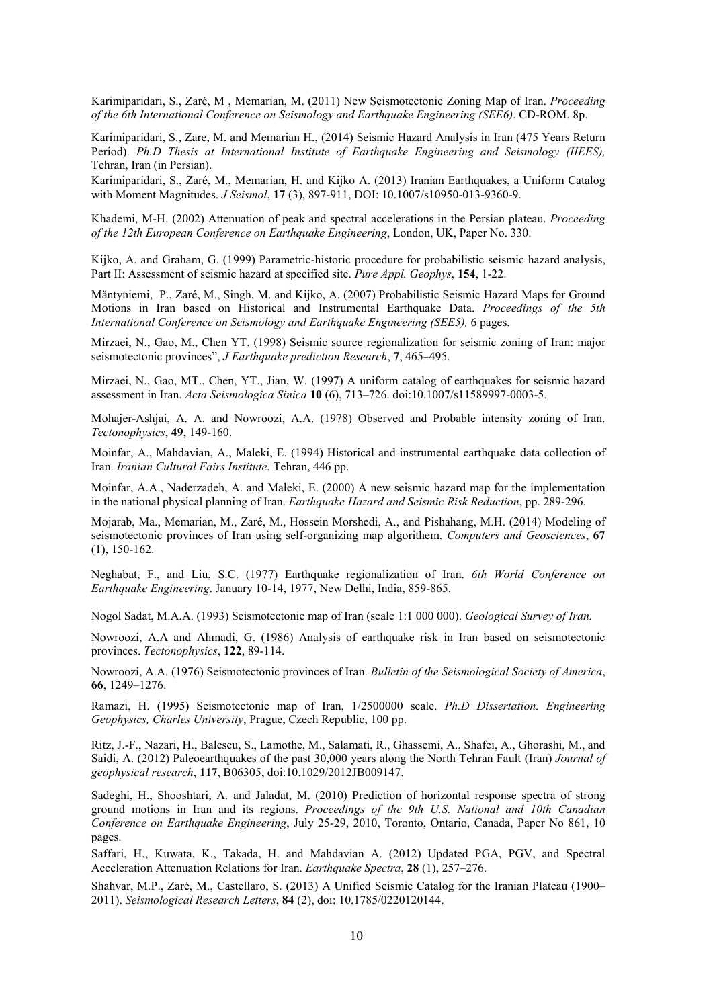Karimiparidari, S., Zaré, M , Memarian, M. (2011) New Seismotectonic Zoning Map of Iran. *Proceeding of the 6th International Conference on Seismology and Earthquake Engineering (SEE6)*. CD-ROM. 8p.

Karimiparidari, S., Zare, M. and Memarian H., (2014) Seismic Hazard Analysis in Iran (475 Years Return Period). *Ph.D Thesis at International Institute of Earthquake Engineering and Seismology (IIEES),* Tehran, Iran (in Persian).

Karimiparidari, S., Zaré, M., Memarian, H. and Kijko A. (2013) Iranian Earthquakes, a Uniform Catalog with Moment Magnitudes. *J Seismol*, **17** (3), 897-911, DOI: 10.1007/s10950-013-9360-9.

Khademi, M-H. (2002) Attenuation of peak and spectral accelerations in the Persian plateau. *Proceeding of the 12th European Conference on Earthquake Engineering*, London, UK, Paper No. 330.

Kijko, A. and Graham, G. (1999) Parametric-historic procedure for probabilistic seismic hazard analysis, Part II: Assessment of seismic hazard at specified site. *Pure Appl. Geophys*, **154**, 1-22.

Mäntyniemi, P., Zaré, M., Singh, M. and Kijko, A. (2007) Probabilistic Seismic Hazard Maps for Ground Motions in Iran based on Historical and Instrumental Earthquake Data. *Proceedings of the 5th International Conference on Seismology and Earthquake Engineering (SEE5),* 6 pages.

Mirzaei, N., Gao, M., Chen YT. (1998) Seismic source regionalization for seismic zoning of Iran: major seismotectonic provinces", *J Earthquake prediction Research*, **7**, 465–495.

Mirzaei, N., Gao, MT., Chen, YT., Jian, W. (1997) A uniform catalog of earthquakes for seismic hazard assessment in Iran. *Acta Seismologica Sinica* **10** (6), 713–726. doi:10.1007/s11589997-0003-5.

Mohajer-Ashjai, A. A. and Nowroozi, A.A. (1978) Observed and Probable intensity zoning of Iran. *Tectonophysics*, **49**, 149-160.

Moinfar, A., Mahdavian, A., Maleki, E. (1994) Historical and instrumental earthquake data collection of Iran. *Iranian Cultural Fairs Institute*, Tehran, 446 pp.

Moinfar, A.A., Naderzadeh, A. and Maleki, E. (2000) A new seismic hazard map for the implementation in the national physical planning of Iran. *Earthquake Hazard and Seismic Risk Reduction*, pp. 289-296.

Mojarab, Ma., Memarian, M., Zaré, M., Hossein Morshedi, A., and Pishahang, M.H. (2014) Modeling of seismotectonic provinces of Iran using self-organizing map algorithem. *Computers and Geosciences*, **67** (1), 150-162.

Neghabat, F., and Liu, S.C. (1977) Earthquake regionalization of Iran. *6th World Conference on Earthquake Engineering*. January 10-14, 1977, New Delhi, India, 859-865.

Nogol Sadat, M.A.A. (1993) Seismotectonic map of Iran (scale 1:1 000 000). *Geological Survey of Iran.*

Nowroozi, A.A and Ahmadi, G. (1986) Analysis of earthquake risk in Iran based on seismotectonic provinces. *Tectonophysics*, **122**, 89-114.

Nowroozi, A.A. (1976) Seismotectonic provinces of Iran. *Bulletin of the Seismological Society of America*, **66**, 1249–1276.

Ramazi, H. (1995) Seismotectonic map of Iran, 1/2500000 scale. *Ph.D Dissertation. Engineering Geophysics, Charles University*, Prague, Czech Republic, 100 pp.

Ritz, J.-F., Nazari, H., Balescu, S., Lamothe, M., Salamati, R., Ghassemi, A., Shafei, A., Ghorashi, M., and Saidi, A. (2012) Paleoearthquakes of the past 30,000 years along the North Tehran Fault (Iran) *Journal of geophysical research*, **117**, B06305, doi:10.1029/2012JB009147.

Sadeghi, H., Shooshtari, A. and Jaladat, M. (2010) Prediction of horizontal response spectra of strong ground motions in Iran and its regions. *Proceedings of the 9th U.S. National and 10th Canadian Conference on Earthquake Engineering*, July 25-29, 2010, Toronto, Ontario, Canada, Paper No 861, 10 pages.

Saffari, H., Kuwata, K., Takada, H. and Mahdavian A. (2012) Updated PGA, PGV, and Spectral Acceleration Attenuation Relations for Iran. *Earthquake Spectra*, **28** (1), 257–276.

Shahvar, M.P., Zaré, M., Castellaro, S. (2013) A Unified Seismic Catalog for the Iranian Plateau (1900– 2011). *Seismological Research Letters*, **84** (2), doi: 10.1785/0220120144.